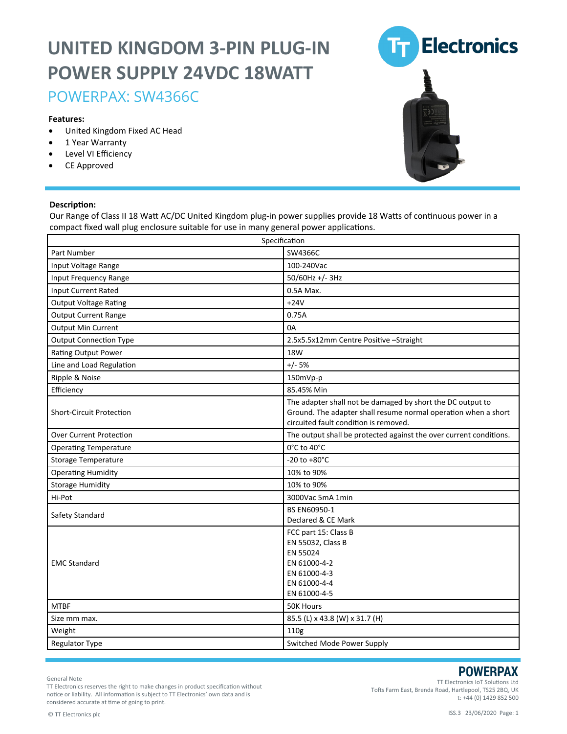## **UNITED KINGDOM 3-PIN PLUG-IN POWER SUPPLY 24VDC 18WATT**

### POWERPAX: SW4366C

#### **Features:**

- United Kingdom Fixed AC Head
- 1 Year Warranty
- Level VI Efficiency
- CE Approved

#### **Description:**

Our Range of Class II 18 Watt AC/DC United Kingdom plug-in power supplies provide 18 Watts of continuous power in a compact fixed wall plug enclosure suitable for use in many general power applications.

| Specification                   |                                                                                                                                                                       |
|---------------------------------|-----------------------------------------------------------------------------------------------------------------------------------------------------------------------|
| Part Number                     | SW4366C                                                                                                                                                               |
| Input Voltage Range             | 100-240Vac                                                                                                                                                            |
| Input Frequency Range           | 50/60Hz +/-3Hz                                                                                                                                                        |
| Input Current Rated             | 0.5A Max.                                                                                                                                                             |
| <b>Output Voltage Rating</b>    | $+24V$                                                                                                                                                                |
| <b>Output Current Range</b>     | 0.75A                                                                                                                                                                 |
| <b>Output Min Current</b>       | 0A                                                                                                                                                                    |
| <b>Output Connection Type</b>   | 2.5x5.5x12mm Centre Positive - Straight                                                                                                                               |
| Rating Output Power             | 18W                                                                                                                                                                   |
| Line and Load Regulation        | $+/- 5%$                                                                                                                                                              |
| Ripple & Noise                  | 150mVp-p                                                                                                                                                              |
| Efficiency                      | 85.45% Min                                                                                                                                                            |
| <b>Short-Circuit Protection</b> | The adapter shall not be damaged by short the DC output to<br>Ground. The adapter shall resume normal operation when a short<br>circuited fault condition is removed. |
| <b>Over Current Protection</b>  | The output shall be protected against the over current conditions.                                                                                                    |
| <b>Operating Temperature</b>    | 0°C to 40°C                                                                                                                                                           |
| <b>Storage Temperature</b>      | $-20$ to $+80^{\circ}$ C                                                                                                                                              |
| <b>Operating Humidity</b>       | 10% to 90%                                                                                                                                                            |
| <b>Storage Humidity</b>         | 10% to 90%                                                                                                                                                            |
| Hi-Pot                          | 3000Vac 5mA 1min                                                                                                                                                      |
| Safety Standard                 | BS EN60950-1<br>Declared & CE Mark                                                                                                                                    |
| <b>EMC Standard</b>             | FCC part 15: Class B<br>EN 55032, Class B<br>EN 55024<br>EN 61000-4-2<br>EN 61000-4-3<br>EN 61000-4-4<br>EN 61000-4-5                                                 |
| <b>MTBF</b>                     | 50K Hours                                                                                                                                                             |
| Size mm max.                    | 85.5 (L) x 43.8 (W) x 31.7 (H)                                                                                                                                        |
| Weight                          | 110g                                                                                                                                                                  |
| Regulator Type                  | Switched Mode Power Supply                                                                                                                                            |

General Note

TT Electronics reserves the right to make changes in product specification without notice or liability. All information is subject to TT Electronics' own data and is considered accurate at time of going to print.

TT Electronics IoT Solutions Ltd Tofts Farm East, Brenda Road, Hartlepool, TS25 2BQ, UK t: +44 (0) 1429 852 500

**POWERPAX**